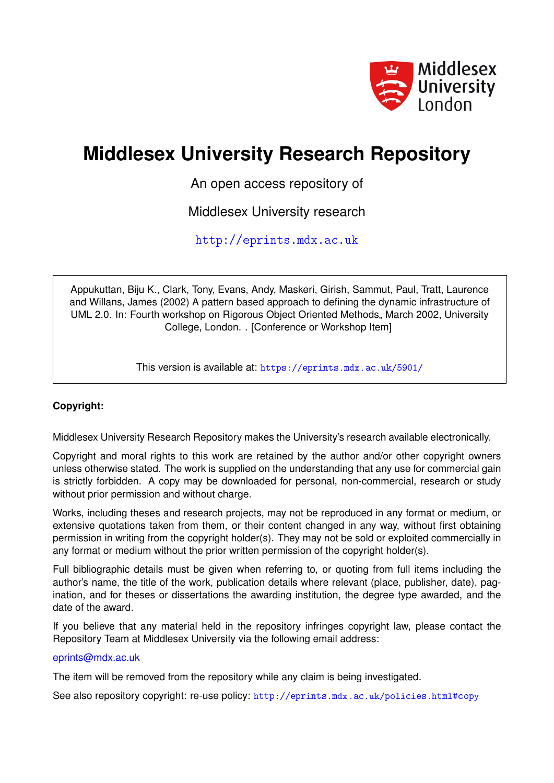

# **Middlesex University Research Repository**

An open access repository of

Middlesex University research

<http://eprints.mdx.ac.uk>

Appukuttan, Biju K., Clark, Tony, Evans, Andy, Maskeri, Girish, Sammut, Paul, Tratt, Laurence and Willans, James (2002) A pattern based approach to defining the dynamic infrastructure of UML 2.0. In: Fourth workshop on Rigorous Object Oriented Methods, March 2002, University College, London. . [Conference or Workshop Item]

This version is available at: <https://eprints.mdx.ac.uk/5901/>

### **Copyright:**

Middlesex University Research Repository makes the University's research available electronically.

Copyright and moral rights to this work are retained by the author and/or other copyright owners unless otherwise stated. The work is supplied on the understanding that any use for commercial gain is strictly forbidden. A copy may be downloaded for personal, non-commercial, research or study without prior permission and without charge.

Works, including theses and research projects, may not be reproduced in any format or medium, or extensive quotations taken from them, or their content changed in any way, without first obtaining permission in writing from the copyright holder(s). They may not be sold or exploited commercially in any format or medium without the prior written permission of the copyright holder(s).

Full bibliographic details must be given when referring to, or quoting from full items including the author's name, the title of the work, publication details where relevant (place, publisher, date), pagination, and for theses or dissertations the awarding institution, the degree type awarded, and the date of the award.

If you believe that any material held in the repository infringes copyright law, please contact the Repository Team at Middlesex University via the following email address:

### [eprints@mdx.ac.uk](mailto:eprints@mdx.ac.uk)

The item will be removed from the repository while any claim is being investigated.

See also repository copyright: re-use policy: <http://eprints.mdx.ac.uk/policies.html#copy>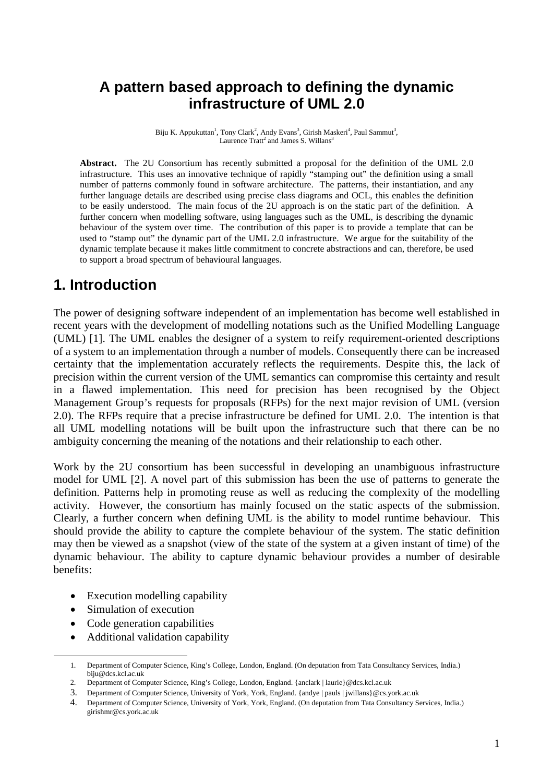## **A pattern based approach to defining the dynamic infrastructure of UML 2.0**

Biju K. Appukuttan<sup>1</sup>, Tony Clark<sup>2</sup>, Andy Evans<sup>3</sup>, Girish Maskeri<sup>4</sup>, Paul Sammut<sup>3</sup>, Laurence Tratt<sup>2</sup> and James S. Willans<sup>3</sup>

**Abstract.** The 2U Consortium has recently submitted a proposal for the definition of the UML 2.0 infrastructure. This uses an innovative technique of rapidly "stamping out" the definition using a small number of patterns commonly found in software architecture. The patterns, their instantiation, and any further language details are described using precise class diagrams and OCL, this enables the definition to be easily understood. The main focus of the 2U approach is on the static part of the definition. A further concern when modelling software, using languages such as the UML, is describing the dynamic behaviour of the system over time. The contribution of this paper is to provide a template that can be used to "stamp out" the dynamic part of the UML 2.0 infrastructure. We argue for the suitability of the dynamic template because it makes little commitment to concrete abstractions and can, therefore, be used to support a broad spectrum of behavioural languages.

## **1. Introduction**

The power of designing software independent of an implementation has become well established in recent years with the development of modelling notations such as the Unified Modelling Language (UML) [1]. The UML enables the designer of a system to reify requirement-oriented descriptions of a system to an implementation through a number of models. Consequently there can be increased certainty that the implementation accurately reflects the requirements. Despite this, the lack of precision within the current version of the UML semantics can compromise this certainty and result in a flawed implementation. This need for precision has been recognised by the Object Management Group's requests for proposals (RFPs) for the next major revision of UML (version 2.0). The RFPs require that a precise infrastructure be defined for UML 2.0. The intention is that all UML modelling notations will be built upon the infrastructure such that there can be no ambiguity concerning the meaning of the notations and their relationship to each other.

Work by the 2U consortium has been successful in developing an unambiguous infrastructure model for UML [2]. A novel part of this submission has been the use of patterns to generate the definition. Patterns help in promoting reuse as well as reducing the complexity of the modelling activity. However, the consortium has mainly focused on the static aspects of the submission. Clearly, a further concern when defining UML is the ability to model runtime behaviour. This should provide the ability to capture the complete behaviour of the system. The static definition may then be viewed as a snapshot (view of the state of the system at a given instant of time) of the dynamic behaviour. The ability to capture dynamic behaviour provides a number of desirable benefits:

- Execution modelling capability
- Simulation of execution
- Code generation capabilities
- Additional validation capability

 <sup>1.</sup> Department of Computer Science, King's College, London, England. (On deputation from Tata Consultancy Services, India.) biju@dcs.kcl.ac.uk

<sup>2.</sup> Department of Computer Science, King's College, London, England. {anclark | laurie}@dcs.kcl.ac.uk

<sup>3.</sup> Department of Computer Science, University of York, York, England. {andye | pauls | jwillans}@cs.york.ac.uk

<sup>4.</sup> Department of Computer Science, University of York, York, England. (On deputation from Tata Consultancy Services, India.) girishmr@cs.york.ac.uk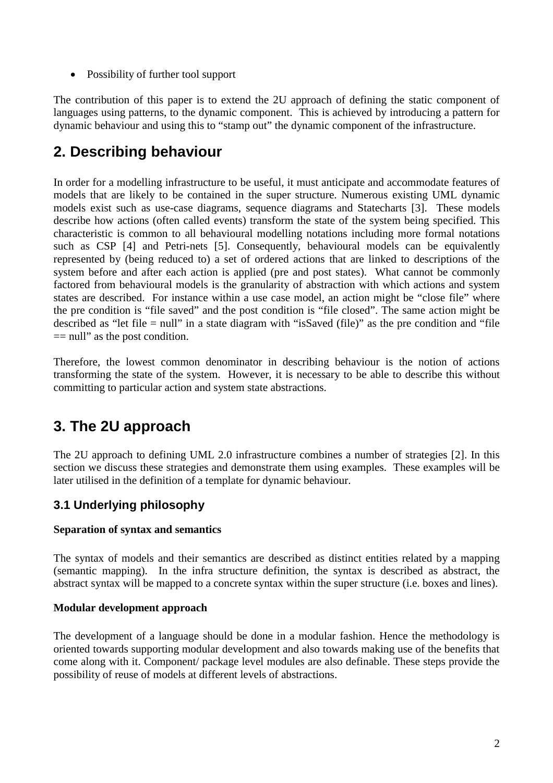• Possibility of further tool support

The contribution of this paper is to extend the 2U approach of defining the static component of languages using patterns, to the dynamic component. This is achieved by introducing a pattern for dynamic behaviour and using this to "stamp out" the dynamic component of the infrastructure.

## **2. Describing behaviour**

In order for a modelling infrastructure to be useful, it must anticipate and accommodate features of models that are likely to be contained in the super structure. Numerous existing UML dynamic models exist such as use-case diagrams, sequence diagrams and Statecharts [3]. These models describe how actions (often called events) transform the state of the system being specified. This characteristic is common to all behavioural modelling notations including more formal notations such as CSP [4] and Petri-nets [5]. Consequently, behavioural models can be equivalently represented by (being reduced to) a set of ordered actions that are linked to descriptions of the system before and after each action is applied (pre and post states). What cannot be commonly factored from behavioural models is the granularity of abstraction with which actions and system states are described. For instance within a use case model, an action might be "close file" where the pre condition is "file saved" and the post condition is "file closed". The same action might be described as "let file = null" in a state diagram with "isSaved (file)" as the pre condition and "file  $==$  null" as the post condition.

Therefore, the lowest common denominator in describing behaviour is the notion of actions transforming the state of the system. However, it is necessary to be able to describe this without committing to particular action and system state abstractions.

## **3. The 2U approach**

The 2U approach to defining UML 2.0 infrastructure combines a number of strategies [2]. In this section we discuss these strategies and demonstrate them using examples. These examples will be later utilised in the definition of a template for dynamic behaviour.

### **3.1 Underlying philosophy**

### **Separation of syntax and semantics**

The syntax of models and their semantics are described as distinct entities related by a mapping (semantic mapping). In the infra structure definition, the syntax is described as abstract, the abstract syntax will be mapped to a concrete syntax within the super structure (i.e. boxes and lines).

### **Modular development approach**

The development of a language should be done in a modular fashion. Hence the methodology is oriented towards supporting modular development and also towards making use of the benefits that come along with it. Component/ package level modules are also definable. These steps provide the possibility of reuse of models at different levels of abstractions.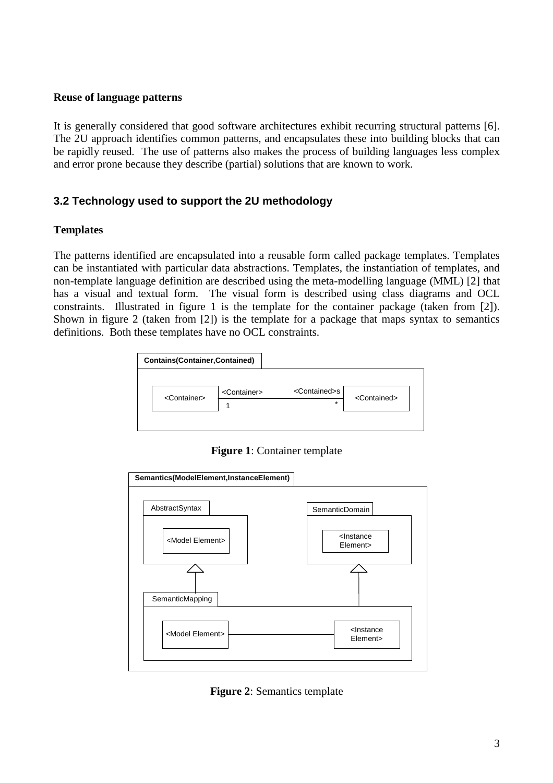### **Reuse of language patterns**

It is generally considered that good software architectures exhibit recurring structural patterns [6]. The 2U approach identifies common patterns, and encapsulates these into building blocks that can be rapidly reused. The use of patterns also makes the process of building languages less complex and error prone because they describe (partial) solutions that are known to work.

### **3.2 Technology used to support the 2U methodology**

### **Templates**

The patterns identified are encapsulated into a reusable form called package templates. Templates can be instantiated with particular data abstractions. Templates, the instantiation of templates, and non-template language definition are described using the meta-modelling language (MML) [2] that has a visual and textual form. The visual form is described using class diagrams and OCL constraints. Illustrated in figure 1 is the template for the container package (taken from [2]). Shown in figure 2 (taken from [2]) is the template for a package that maps syntax to semantics definitions. Both these templates have no OCL constraints.



**Figure 1**: Container template



**Figure 2**: Semantics template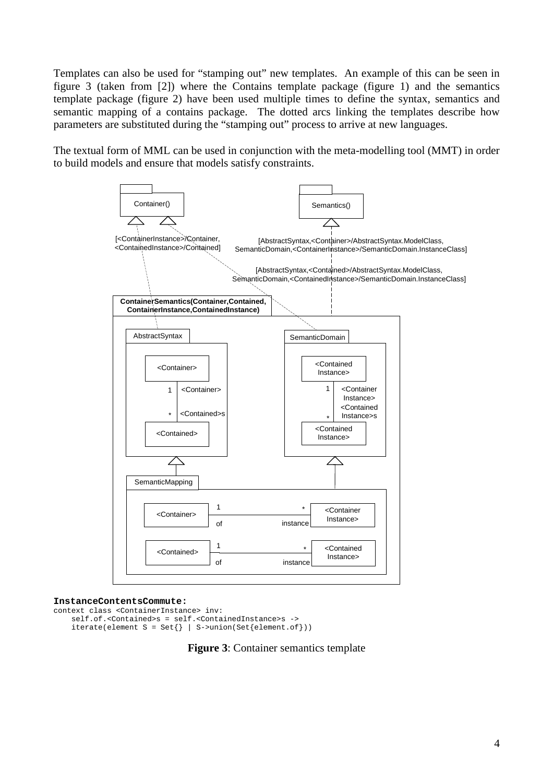Templates can also be used for "stamping out" new templates. An example of this can be seen in figure 3 (taken from [2]) where the Contains template package (figure 1) and the semantics template package (figure 2) have been used multiple times to define the syntax, semantics and semantic mapping of a contains package. The dotted arcs linking the templates describe how parameters are substituted during the "stamping out" process to arrive at new languages.

The textual form of MML can be used in conjunction with the meta-modelling tool (MMT) in order to build models and ensure that models satisfy constraints.



#### **InstanceContentsCommute:**

```
context class <ContainerInstance> inv: 
      self.of.<Contained>s = self.<ContainedInstance>s -> 
     \text{iterate}(element S = \text{Set} \{ \} | S \text{-} \text{union}(\text{Set} \{ element \text{.of} \})).
```
**Figure 3**: Container semantics template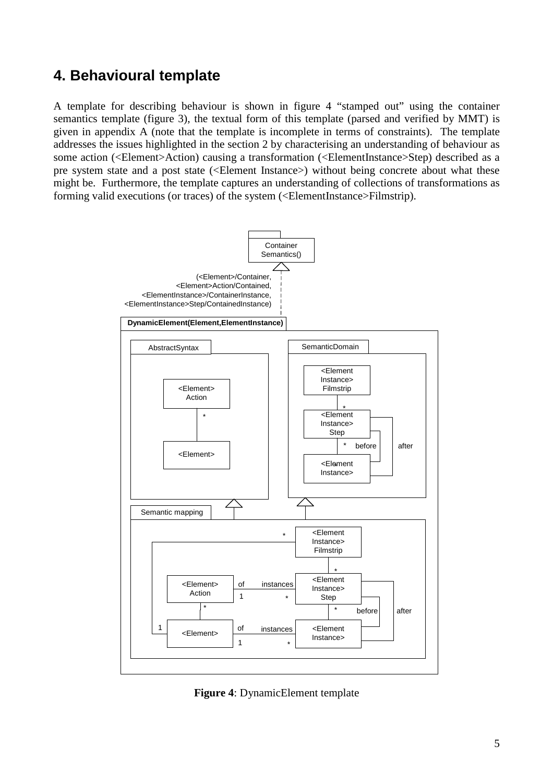## **4. Behavioural template**

A template for describing behaviour is shown in figure 4 "stamped out" using the container semantics template (figure 3), the textual form of this template (parsed and verified by MMT) is given in appendix A (note that the template is incomplete in terms of constraints). The template addresses the issues highlighted in the section 2 by characterising an understanding of behaviour as some action (<Element>Action) causing a transformation (<ElementInstance>Step) described as a pre system state and a post state (<Element Instance>) without being concrete about what these might be. Furthermore, the template captures an understanding of collections of transformations as forming valid executions (or traces) of the system (<ElementInstance>Filmstrip).



**Figure 4**: DynamicElement template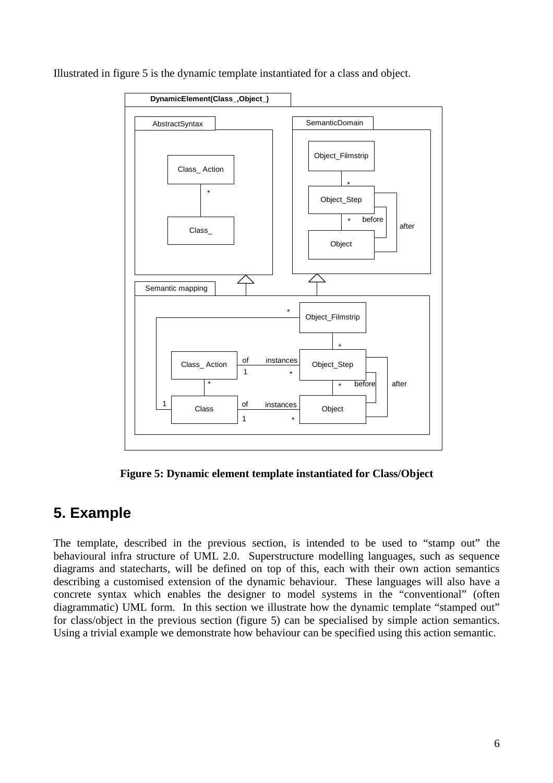Illustrated in figure 5 is the dynamic template instantiated for a class and object.



**Figure 5: Dynamic element template instantiated for Class/Object** 

## **5. Example**

The template, described in the previous section, is intended to be used to "stamp out" the behavioural infra structure of UML 2.0. Superstructure modelling languages, such as sequence diagrams and statecharts, will be defined on top of this, each with their own action semantics describing a customised extension of the dynamic behaviour. These languages will also have a concrete syntax which enables the designer to model systems in the "conventional" (often diagrammatic) UML form. In this section we illustrate how the dynamic template "stamped out" for class/object in the previous section (figure 5) can be specialised by simple action semantics. Using a trivial example we demonstrate how behaviour can be specified using this action semantic.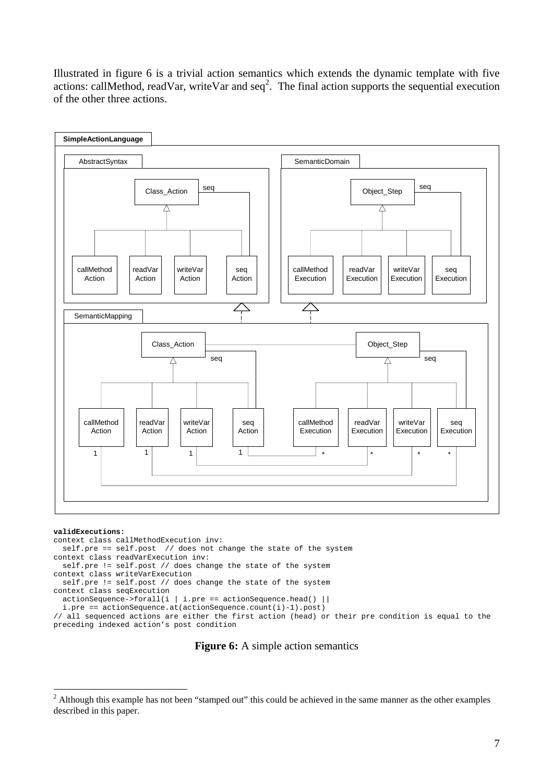Illustrated in figure 6 is a trivial action semantics which extends the dynamic template with five actions: callMethod, readVar, writeVar and  $\text{seq}^2$ . The final action supports the sequential execution of the other three actions.



#### **validExecutions:**

 $\overline{a}$ 

```
context class callMethodExecution inv: 
  self.pre == self.post // does not change the state of the system
context class readVarExecution inv: 
   self.pre != self.post // does change the state of the system 
context class writeVarExecution 
  self.pre != self.post // does change the state of the system 
context class seqExecution 
 \arctanSequence->forall(i | i.pre == actionSequence.head() ||
   i.pre == actionSequence.at(actionSequence.count(i)-1).post) 
// all sequenced actions are either the first action (head) or their pre condition is equal to the 
preceding indexed action's post condition
```
### **Figure 6:** A simple action semantics

 $2$  Although this example has not been "stamped out" this could be achieved in the same manner as the other examples described in this paper.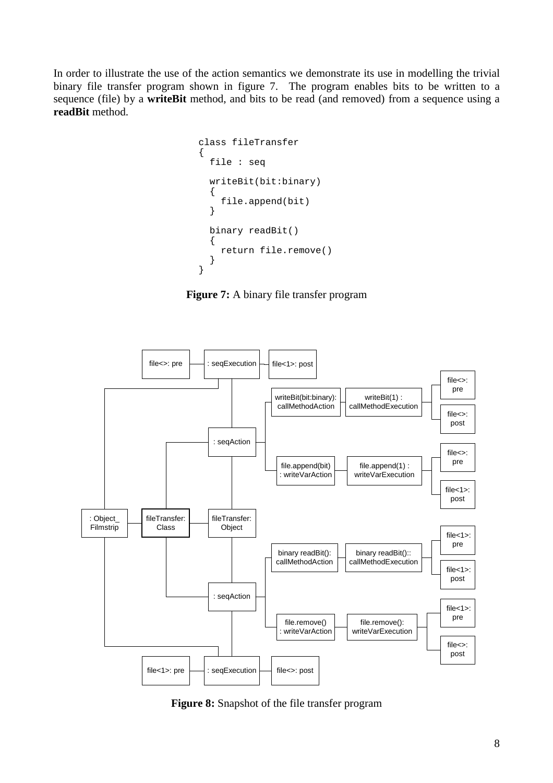In order to illustrate the use of the action semantics we demonstrate its use in modelling the trivial binary file transfer program shown in figure 7. The program enables bits to be written to a sequence (file) by a **writeBit** method, and bits to be read (and removed) from a sequence using a **readBit** method.

```
class fileTransfer 
{ 
   file : seq 
   writeBit(bit:binary) 
\{ file.append(bit) 
   } 
   binary readBit() 
   { 
     return file.remove() 
   } 
}
```
**Figure 7:** A binary file transfer program



**Figure 8:** Snapshot of the file transfer program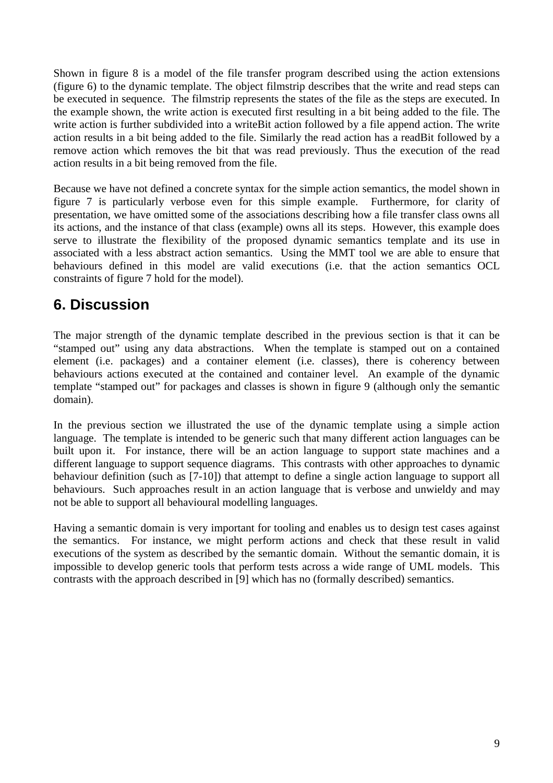Shown in figure 8 is a model of the file transfer program described using the action extensions (figure 6) to the dynamic template. The object filmstrip describes that the write and read steps can be executed in sequence. The filmstrip represents the states of the file as the steps are executed. In the example shown, the write action is executed first resulting in a bit being added to the file. The write action is further subdivided into a writeBit action followed by a file append action. The write action results in a bit being added to the file. Similarly the read action has a readBit followed by a remove action which removes the bit that was read previously. Thus the execution of the read action results in a bit being removed from the file.

Because we have not defined a concrete syntax for the simple action semantics, the model shown in figure 7 is particularly verbose even for this simple example. Furthermore, for clarity of presentation, we have omitted some of the associations describing how a file transfer class owns all its actions, and the instance of that class (example) owns all its steps. However, this example does serve to illustrate the flexibility of the proposed dynamic semantics template and its use in associated with a less abstract action semantics. Using the MMT tool we are able to ensure that behaviours defined in this model are valid executions (i.e. that the action semantics OCL constraints of figure 7 hold for the model).

## **6. Discussion**

The major strength of the dynamic template described in the previous section is that it can be "stamped out" using any data abstractions. When the template is stamped out on a contained element (i.e. packages) and a container element (i.e. classes), there is coherency between behaviours actions executed at the contained and container level. An example of the dynamic template "stamped out" for packages and classes is shown in figure 9 (although only the semantic domain).

In the previous section we illustrated the use of the dynamic template using a simple action language. The template is intended to be generic such that many different action languages can be built upon it. For instance, there will be an action language to support state machines and a different language to support sequence diagrams. This contrasts with other approaches to dynamic behaviour definition (such as [7-10]) that attempt to define a single action language to support all behaviours. Such approaches result in an action language that is verbose and unwieldy and may not be able to support all behavioural modelling languages.

Having a semantic domain is very important for tooling and enables us to design test cases against the semantics. For instance, we might perform actions and check that these result in valid executions of the system as described by the semantic domain. Without the semantic domain, it is impossible to develop generic tools that perform tests across a wide range of UML models. This contrasts with the approach described in [9] which has no (formally described) semantics.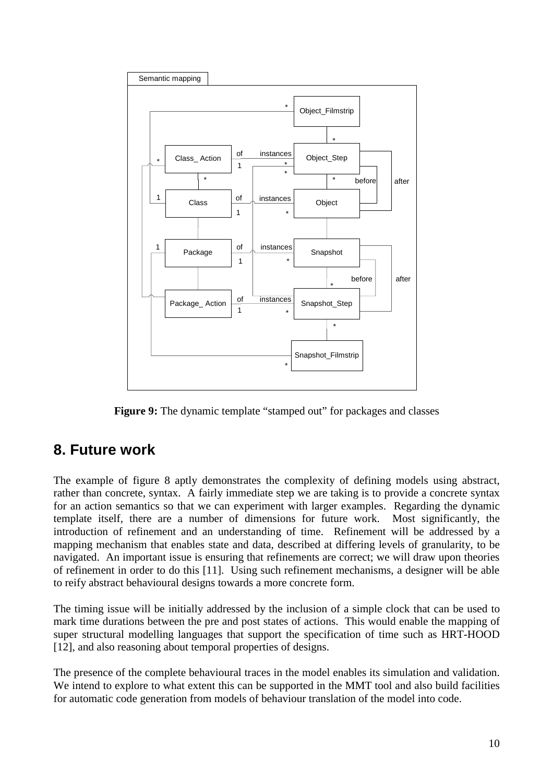

**Figure 9:** The dynamic template "stamped out" for packages and classes

## **8. Future work**

The example of figure 8 aptly demonstrates the complexity of defining models using abstract, rather than concrete, syntax. A fairly immediate step we are taking is to provide a concrete syntax for an action semantics so that we can experiment with larger examples. Regarding the dynamic template itself, there are a number of dimensions for future work. Most significantly, the introduction of refinement and an understanding of time. Refinement will be addressed by a mapping mechanism that enables state and data, described at differing levels of granularity, to be navigated. An important issue is ensuring that refinements are correct; we will draw upon theories of refinement in order to do this [11]. Using such refinement mechanisms, a designer will be able to reify abstract behavioural designs towards a more concrete form.

The timing issue will be initially addressed by the inclusion of a simple clock that can be used to mark time durations between the pre and post states of actions. This would enable the mapping of super structural modelling languages that support the specification of time such as HRT-HOOD [12], and also reasoning about temporal properties of designs.

The presence of the complete behavioural traces in the model enables its simulation and validation. We intend to explore to what extent this can be supported in the MMT tool and also build facilities for automatic code generation from models of behaviour translation of the model into code.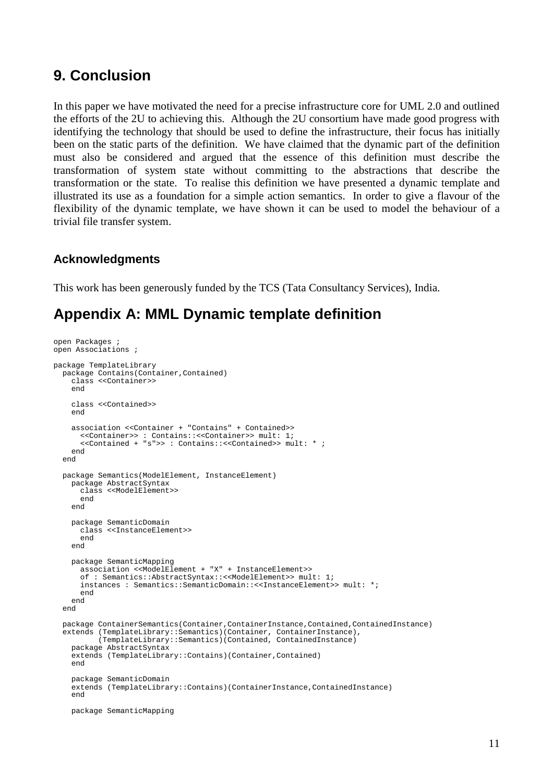### **9. Conclusion**

In this paper we have motivated the need for a precise infrastructure core for UML 2.0 and outlined the efforts of the 2U to achieving this. Although the 2U consortium have made good progress with identifying the technology that should be used to define the infrastructure, their focus has initially been on the static parts of the definition. We have claimed that the dynamic part of the definition must also be considered and argued that the essence of this definition must describe the transformation of system state without committing to the abstractions that describe the transformation or the state. To realise this definition we have presented a dynamic template and illustrated its use as a foundation for a simple action semantics. In order to give a flavour of the flexibility of the dynamic template, we have shown it can be used to model the behaviour of a trivial file transfer system.

### **Acknowledgments**

This work has been generously funded by the TCS (Tata Consultancy Services), India.

## **Appendix A: MML Dynamic template definition**

```
open Packages ; 
open Associations ; 
package TemplateLibrary 
  package Contains(Container,Contained) 
     class <<Container>> 
     end 
     class <<Contained>> 
     end 
     association <<Container + "Contains" + Contained>> 
       <<Container>> : Contains::<<Container>> mult: 1; 
       <<Contained + "s">> : Contains::<<Contained>> mult: * ; 
     end 
   end 
   package Semantics(ModelElement, InstanceElement) 
     package AbstractSyntax 
       class <<ModelElement>> 
       end 
     end 
     package SemanticDomain 
       class <<InstanceElement>> 
       end 
     end 
     package SemanticMapping 
       association <<ModelElement + "X" + InstanceElement>> 
       of : Semantics::AbstractSyntax::<<ModelElement>> mult: 1; 
       instances : Semantics::SemanticDomain::<<InstanceElement>> mult: *; 
       end 
     end 
   end 
   package ContainerSemantics(Container,ContainerInstance,Contained,ContainedInstance) 
 extends (TemplateLibrary::Semantics)(Container, ContainerInstance), 
 (TemplateLibrary::Semantics)(Contained, ContainedInstance) 
     package AbstractSyntax 
     extends (TemplateLibrary::Contains)(Container,Contained) 
     end 
     package SemanticDomain 
     extends (TemplateLibrary::Contains)(ContainerInstance,ContainedInstance) 
     end 
     package SemanticMapping
```